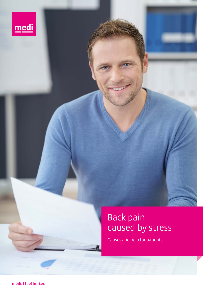

# Back pain caused by stress

Causes and help for patients

**medi. I feel better.**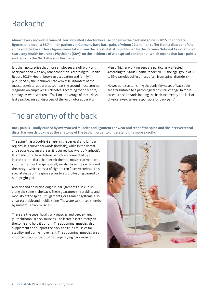### Backache

**Almost every second German citizen consulted a doctor because of pain in the back and spine in 2015. In concrete figures, this means: 36.7 million patients in Germany have back pain, of whom 22.1 million suffer from a disorder of the spine and the back. These figures were taken from the latest statistics published by the German National Association of**  Statutory Health Insurance Physicians (KBV)<sup>1</sup> on the incidence of widespread conditions - which means that back pain is **and remains the No. 1 illness in Germany.**

It is then no surprise that more employees are off work with back pain than with any other condition. According to "Health Report 2016 – Health between occupation and family" published by the Techniker Krankenkasse, disorders of the musculoskeletal apparatus count as the second most common diagnosis on employees' sick notes. According to the report, employees were written off sick on an average of three days last year, because of disorders of the locomotor apparatus.<sup>2</sup>

Men of higher working ages are particularly affected. According to "Stada Health Report 2016", the age-group of 50 to 59-year-olds suffers most often from spinal disorders.<sup>3</sup>

However, it is astonishing that only few cases of back pain are attributable to a pathological physical change. In most cases, stress at work, loading the back incorrectly and lack of physical exercise are responsible for back pain.3

### The anatomy of the back

**Back pain is usually caused by overworked muscles and ligaments or wear and tear of the spine and the intervertebral discs. It is worth looking at the anatomy of the back, in order to understand this more exactly.**

The spine4 has a double-S shape: in the cervical and lumbar regions, it is curved forwards (lordosis), while in the dorsal and sacral-coccygeal areas, it is curved backwards (kyphosis). It is made up of 24 vertebrae, which are connected by 23 intervertebral discs that permit them to move relative to one another. Besides the spine itself, we also have the sacrum and the coccyx, which consist of eight to ten fused vertebrae. This special shape of the spine serves to absorb loading caused by our upright gait.

Anterior and posterior longitudinal ligaments also run up along the spine in the back. These guarantee the stability and mobility of the spine. Six ligaments, or ligament systems, also ensure a stable and mobile spine. These are supported thereby by numerous back muscles.

There are the superficial trunk muscles and deeper-lying (autochthonous) back muscles. The latter insert directly on the spine and hold it upright. The abdominal muscles also supplement and support the back and trunk muscles for stability and during movement. The abdominal muscles are an important counterpart to the deeper-lying back muscles.

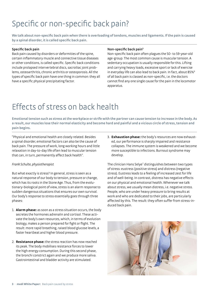# Specific or non-specific back pain?

**We talk about non-specific back pain when there is overloading of tendons, muscles and ligaments. If the pain is caused by a spinal disorder, it is called specific back pain.**

#### **Specific back pain**

Back pain caused by disorders or deformities of the spine, certain inflammatory muscle and connective tissue diseases or other conditions, is called specific. Specific back conditions include prolapsed intervertebral discs, sacroiliac joint problems, osteoarthritis, chronic arthritis or osteoporosis. All the types of specific back pain have one thing in common: they all have a specific physical precipitating factor.

#### **Non-specific back pain5**

Non-specific back pain often plagues the 50- to 59-year-old age-group. The most common cause is muscular tension. A sedentary occupation is usually responsible for this. Lifting and carrying heavy loads, excessive sport or lack of exercise in everyday life can also lead to back pain. In fact, about 85%<sup>6</sup> of all back pain is classed as non-specific, i.e. the doctors cannot find any one single cause for the pain in the locomotor apparatus.

### Effects of stress on back health

**Emotional tension such as stress at the workplace or strife with the partner can cause tension to increase in the body. As a result, our muscles lose their normal elasticity and become hard and painful and a vicious circle of stress, tension and pain begins.**

"Physical and emotional health are closely related. Besides a spinal disorder, emotional factors can also be the cause of back pain. The pressure of work, long working hours and little relaxation in day-to-day life often lead to muscular tension that can, in turn, permanently affect back health".

#### *Frank Schulte, physiotherapist*

But what exactly is stress? In general, stress is seen as a natural response of our body to tension, pressure or change, which has its roots in the Stone Age. Thus, from the evolutionary-biological point of view, stress is an alarm response to sudden dangerous situations that ensures our own survival. Our body's response to stress essentially goes through three phases:

- 1. **Alarm phase:** as soon as a stress situation occurs, the body secretes the hormones adrenalin and cortisol. These activate the body's own resources, which, in terms of evolution biology, makes a person prepared for fight or flight. The result: more rapid breathing, raised blood glucose levels, a faster heartbeat and higher blood pressure.
- 2. **Resistance phase:** the stress reaction has now reached its peak. The body mobilises resistance forces to lower the high energy consumption. During this second phase, the bronchi constrict again and we produce more saliva. Gastrointestinal and bladder activity are stimulated.

3. **Exhaustion phase:** the body's resources are now exhausted, our performance is sharply impaired and resistance collapses. The immune system is weakened and we become more susceptible to infections. Burnout syndrome may develop.

The clinician Hans Selye<sup>7</sup> distinguishes between two types of stress: eustress (positive stress) and distress (negative stress). Eustress leads to a feeling of increased zest for life and of well-being. In contrast, distress has negative effects on our physical and emotional health. Whenever we talk about stress, we usually mean distress, i.e. negative stress. People, who are under heavy pressure to bring results at work and who are dedicated to their jobs, are particularly affected by this. The result: they often suffer from stress-induced back pain.

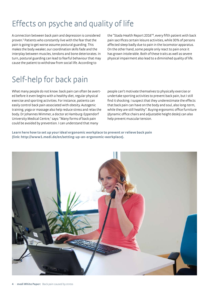# Effects on psyche and quality of life

A connection between back pain and depression is considered proven.<sup>5</sup> Patients who constantly live with the fear that the pain is going to get worse assume postural guarding. This makes the body weaker, our coordination skills fade and the interplay between muscles, tendons and bone deteriorates. In turn, postural guarding can lead to fearful behaviour that may cause the patient to withdraw from social life. According to

the "Stada Health Report 2016"8 , every fifth patient with back pain sacrifices certain leisure activities, while 30% of persons affected sleep badly due to pain in the locomotor apparatus. On the other hand, some people only react to pain once it has grown intolerable. Both of these traits as well as severe physical impairment also lead to a diminished quality of life.

### Self-help for back pain

What many people do not know: back pain can often be averted before it even begins with a healthy diet, regular physical exercise and sporting activities. For instance, patients can easily control back pain associated with obesity. Autogenic training, yoga or massage also help reduce stress and relax the body. Dr Johannes Wimmer, a doctor at Hamburg-Eppendorf University Medical Centre,<sup>7</sup> says: "Many forms of back pain could be avoided by prevention. I can understand that many

people can't motivate themselves to physically exercise or undertake sporting activities to prevent back pain, but I still find it shocking. I suspect that they underestimate the effects that back pain can have on the body and soul, also long-term, while they are still healthy". Buying ergonomic office furniture (dynamic office chairs and adjustable height desks) can also help prevent muscular tension.

**Learn here how to set up your ideal ergonomic workplace to prevent or relieve back pain (link: http://www1.medi.de/en/setting-up-an-ergonomic-workplace).**

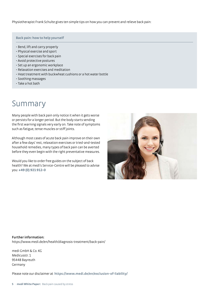Physiotherapist Frank Schulte gives ten simple tips on how you can prevent and relieve back pain:

#### **Back pain: how to help yourself**

- Bend, lift and carry properly
- Physical exercise and sport
- Special exercises for back pain
- Avoid protective postures
- Set up an ergonomic workplace
- Relaxation exercises and meditation
- Heat treatment with buckwheat cushions or a hot water bottle
- Soothing massages
- Take a hot bath

### Summary

Many people with back pain only notice it when it gets worse or persists for a longer period. But the body starts sending the first warning signals very early on. Take note of symptoms such as fatigue, tense muscles or stiff joints.

Although most cases of acute back pain improve on their own after a few days' rest, relaxation exercises or tried-and-tested household remedies, many types of back pain can be averted before they even begin with the right preventative measures.

Would you like to order free guides on the subject of back health? We at medi's Service-Centre will be pleased to advise you: **+49 (0) 921 912-0**



**Further information:**  https://www.medi.de/en/health/diagnosis-treatment/back-pain/

medi GmbH & Co. KG Medicusstr. 1 95448 Bayreuth Germany

Please note our disclaimer at **https://www.medi.de/en/exclusion-of-liability/**